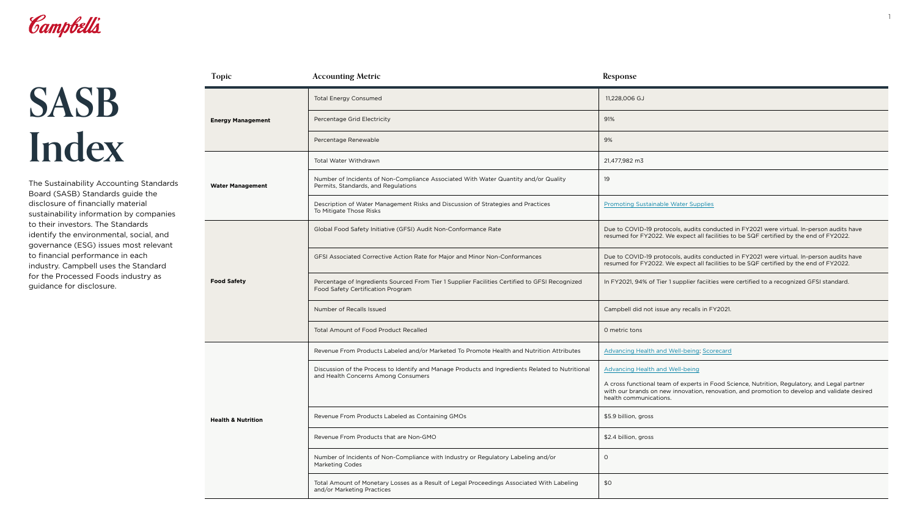

## **SASB Index**

## **Topic Accounting Metric Response Energy Management** Total Energy Consumed Percentage Grid Electricity Percentage Renewable **Water Management** Total Water Withdrawn Number of Incidents of Non-Compliance Associated With Water Quanti Permits, Standards, and Regulations Description of Water Management Risks and Discussion of Strategies and To Mitigate Those Risks **Food Safety** Global Food Safety Initiative (GFSI) Audit Non-Conformance Rate GFSI Associated Corrective Action Rate for Major and Minor Non-Conformances Due to Condu Percentage of Ingredients Sourced From Tier 1 Supplier Facilities Certifi Food Safety Certification Program Number of Recalls Issued Total Amount of Food Product Recalled **Health & Nutrition** Revenue From Products Labeled and/or Marketed To Promote Health and Nutrition Attributes Advances A Discussion of the Process to Identify and Manage Products and Ingredients and Health Concerns Among Consumers Revenue From Products Labeled as Containing GMOs Revenue From Products that are Non-GMO Number of Incidents of Non-Compliance with Industry or Regulatory La Marketing Codes Total Amount of Monetary Losses as a Result of Legal Proceedings Assection and/or Marketing Practices

|                             | 11,228,006 GJ                                                                                                                                                                                                          |  |
|-----------------------------|------------------------------------------------------------------------------------------------------------------------------------------------------------------------------------------------------------------------|--|
|                             | 91%                                                                                                                                                                                                                    |  |
|                             | 9%                                                                                                                                                                                                                     |  |
|                             | 21,477,982 m3                                                                                                                                                                                                          |  |
| ity and/or Quality          | 19                                                                                                                                                                                                                     |  |
| nd Practices                | <b>Promoting Sustainable Water Supplies</b>                                                                                                                                                                            |  |
|                             | Due to COVID-19 protocols, audits conducted in FY2021 were virtual. In-person audits have<br>resumed for FY2022. We expect all facilities to be SQF certified by the end of FY2022.                                    |  |
| prmances                    | Due to COVID-19 protocols, audits conducted in FY2021 were virtual. In-person audits have<br>resumed for FY2022. We expect all facilities to be SQF certified by the end of FY2022.                                    |  |
| ied to GFSI Recognized      | In FY2021, 94% of Tier 1 supplier faciities were certified to a recognized GFSI standard.                                                                                                                              |  |
|                             | Campbell did not issue any recalls in FY2021.                                                                                                                                                                          |  |
|                             | O metric tons                                                                                                                                                                                                          |  |
| nd Nutrition Attributes     | <b>Advancing Health and Well-being; Scorecard</b>                                                                                                                                                                      |  |
| ents Related to Nutritional | <b>Advancing Health and Well-being</b>                                                                                                                                                                                 |  |
|                             | A cross functional team of experts in Food Science, Nutrition, Regulatory, and Legal partner<br>with our brands on new innovation, renovation, and promotion to develop and validate desired<br>health communications. |  |
|                             | \$5.9 billion, gross                                                                                                                                                                                                   |  |
|                             | \$2.4 billion, gross                                                                                                                                                                                                   |  |
| abeling and/or              | $\circ$                                                                                                                                                                                                                |  |
| ociated With Labeling       | \$0                                                                                                                                                                                                                    |  |

The Sustainability Accounting Standards Board (SASB) Standards guide the disclosure of financially material sustainability information by companies to their investors. The Standards identify the environmental, social, and governance (ESG) issues most relevant to financial performance in each industry. Campbell uses the Standard for the Processed Foods industry as guidance for disclosure.